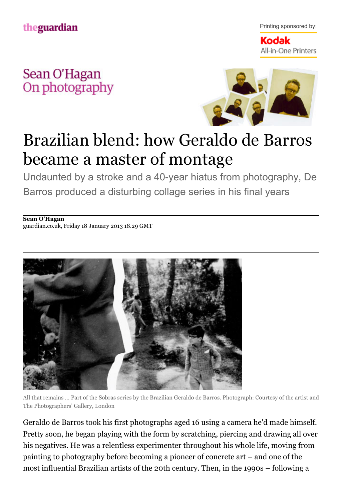Printing sponsored by:

Kodak All-in-One Printers

Sean O'Hagan On photography



## Brazilian blend: how Geraldo de Barros became a master of montage

Undaunted by a stroke and a 40-year hiatus from photography, De Barros produced a disturbing collage series in his final years

**[Sean O'Hagan](http://www.guardian.co.uk/profile/seanohagan)** [guardian.co.uk,](http://www.guardian.co.uk/) Friday 18 January 2013 18.29 GMT



All that remains … Part of the Sobras series by the Brazilian Geraldo de Barros. Photograph: Courtesy of the artist and The Photographers' Gallery, London

Geraldo de Barros took his first photographs aged 16 using a camera he'd made himself. Pretty soon, he began playing with the form by scratching, piercing and drawing all over his negatives. He was a relentless experimenter throughout his whole life, moving from painting to [photography](http://www.guardian.co.uk/artanddesign/photography) before becoming a pioneer of [concrete art](http://www.art-directory.info/fine-art/concrete-art/index.shtml) – and one of the most influential Brazilian artists of the 20th century. Then, in the 1990s – following a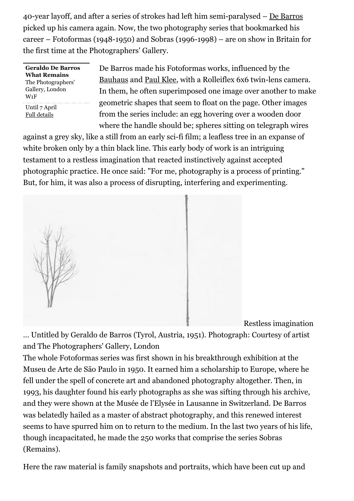40-year layoff, and after a series of strokes had left him semi-paralysed – [De Barros](http://thephotographersgallery.org.uk/geraldo-de-barros-4) picked up his camera again. Now, the two photography series that bookmarked his career – Fotoformas (1948-1950) and Sobras (1996-1998) – are on show in Britain for the first time at the Photographers' Gallery.

**Geraldo De Barros What Remains** The Photographers' Gallery, London W1F Until 7 April [Full details](http://thephotographersgallery.org.uk/geraldo-de-barros-4)

De Barros made his Fotoformas works, influenced by the [Bauhaus](http://www.bauhaus-dessau.de/index.php?en) and [Paul Klee,](http://www.metmuseum.org/toah/hd/klee/hd_klee.htm) with a Rolleiflex 6x6 twin-lens camera. In them, he often superimposed one image over another to make geometric shapes that seem to float on the page. Other images from the series include: an egg hovering over a wooden door where the handle should be; spheres sitting on telegraph wires

against a grey sky, like a still from an early sci-fi film; a leafless tree in an expanse of white broken only by a thin black line. This early body of work is an intriguing testament to a restless imagination that reacted instinctively against accepted photographic practice. He once said: "For me, photography is a process of printing." But, for him, it was also a process of disrupting, interfering and experimenting.



Restless imagination

… Untitled by Geraldo de Barros (Tyrol, Austria, 1951). Photograph: Courtesy of artist and The Photographers' Gallery, London

The whole Fotoformas series was first shown in his breakthrough exhibition at the Museu de Arte de São Paulo in 1950. It earned him a scholarship to Europe, where he fell under the spell of concrete art and abandoned photography altogether. Then, in 1993, his daughter found his early photographs as she was sifting through his archive, and they were shown at the Musée de l'Elysée in Lausanne in Switzerland. De Barros was belatedly hailed as a master of abstract photography, and this renewed interest seems to have spurred him on to return to the medium. In the last two years of his life, though incapacitated, he made the 250 works that comprise the series Sobras (Remains).

Here the raw material is family snapshots and portraits, which have been cut up and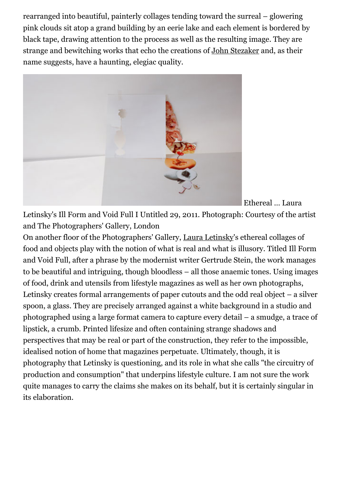rearranged into beautiful, painterly collages tending toward the surreal – glowering pink clouds sit atop a grand building by an eerie lake and each element is bordered by black tape, drawing attention to the process as well as the resulting image. They are strange and bewitching works that echo the creations of [John Stezaker](http://www.saatchi-gallery.co.uk/artists/john_stezaker.htm) and, as their name suggests, have a haunting, elegiac quality.



Ethereal … Laura

Letinsky's Ill Form and Void Full I Untitled 29, 2011. Photograph: Courtesy of the artist and The Photographers' Gallery, London

On another floor of the Photographers' Gallery, [Laura Letinsky](http://lauraletinsky.com/)'s ethereal collages of food and objects play with the notion of what is real and what is illusory. Titled Ill Form and Void Full, after a phrase by the modernist writer Gertrude Stein, the work manages to be beautiful and intriguing, though bloodless – all those anaemic tones. Using images of food, drink and utensils from lifestyle magazines as well as her own photographs, Letinsky creates formal arrangements of paper cutouts and the odd real object – a silver spoon, a glass. They are precisely arranged against a white background in a studio and photographed using a large format camera to capture every detail – a smudge, a trace of lipstick, a crumb. Printed lifesize and often containing strange shadows and perspectives that may be real or part of the construction, they refer to the impossible, idealised notion of home that magazines perpetuate. Ultimately, though, it is photography that Letinsky is questioning, and its role in what she calls "the circuitry of production and consumption" that underpins lifestyle culture. I am not sure the work quite manages to carry the claims she makes on its behalf, but it is certainly singular in its elaboration.